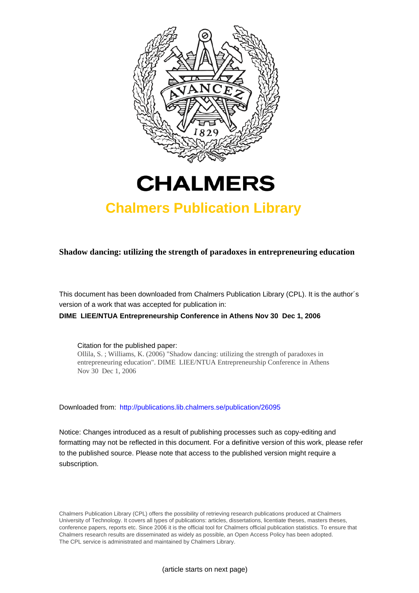



# **Chalmers Publication Library**

**Shadow dancing: utilizing the strength of paradoxes in entrepreneuring education**

This document has been downloaded from Chalmers Publication Library (CPL). It is the author´s version of a work that was accepted for publication in:

**DIME LIEE/NTUA Entrepreneurship Conference in Athens Nov 30 Dec 1, 2006**

Citation for the published paper: Ollila, S. ; Williams, K. (2006) "Shadow dancing: utilizing the strength of paradoxes in entrepreneuring education". DIME LIEE/NTUA Entrepreneurship Conference in Athens Nov 30 Dec 1, 2006

Downloaded from: <http://publications.lib.chalmers.se/publication/26095>

Notice: Changes introduced as a result of publishing processes such as copy-editing and formatting may not be reflected in this document. For a definitive version of this work, please refer to the published source. Please note that access to the published version might require a subscription.

Chalmers Publication Library (CPL) offers the possibility of retrieving research publications produced at Chalmers University of Technology. It covers all types of publications: articles, dissertations, licentiate theses, masters theses, conference papers, reports etc. Since 2006 it is the official tool for Chalmers official publication statistics. To ensure that Chalmers research results are disseminated as widely as possible, an Open Access Policy has been adopted. The CPL service is administrated and maintained by Chalmers Library.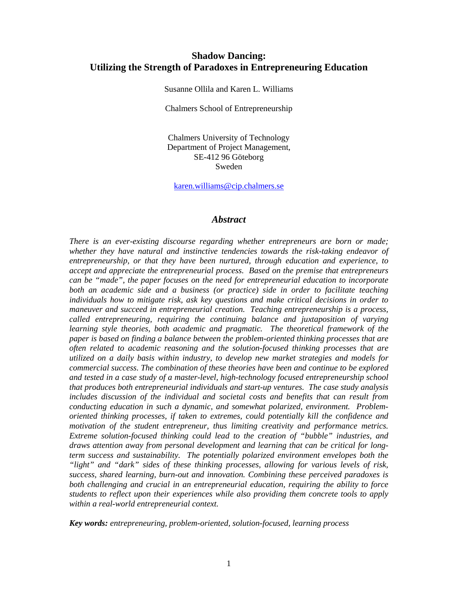## **Shadow Dancing: Utilizing the Strength of Paradoxes in Entrepreneuring Education**

Susanne Ollila and Karen L. Williams

Chalmers School of Entrepreneurship

Chalmers University of Technology Department of Project Management, SE-412 96 Göteborg Sweden

karen.williams@cip.chalmers.se

#### *Abstract*

*There is an ever-existing discourse regarding whether entrepreneurs are born or made; whether they have natural and instinctive tendencies towards the risk-taking endeavor of entrepreneurship, or that they have been nurtured, through education and experience, to accept and appreciate the entrepreneurial process. Based on the premise that entrepreneurs can be "made", the paper focuses on the need for entrepreneurial education to incorporate both an academic side and a business (or practice) side in order to facilitate teaching individuals how to mitigate risk, ask key questions and make critical decisions in order to maneuver and succeed in entrepreneurial creation. Teaching entrepreneurship is a process, called entrepreneuring, requiring the continuing balance and juxtaposition of varying learning style theories, both academic and pragmatic. The theoretical framework of the paper is based on finding a balance between the problem-oriented thinking processes that are often related to academic reasoning and the solution-focused thinking processes that are utilized on a daily basis within industry, to develop new market strategies and models for commercial success. The combination of these theories have been and continue to be explored and tested in a case study of a master-level, high-technology focused entrepreneurship school that produces both entrepreneurial individuals and start-up ventures. The case study analysis includes discussion of the individual and societal costs and benefits that can result from conducting education in such a dynamic, and somewhat polarized, environment. Problemoriented thinking processes, if taken to extremes, could potentially kill the confidence and motivation of the student entrepreneur, thus limiting creativity and performance metrics. Extreme solution-focused thinking could lead to the creation of "bubble" industries, and draws attention away from personal development and learning that can be critical for longterm success and sustainability. The potentially polarized environment envelopes both the "light" and "dark" sides of these thinking processes, allowing for various levels of risk, success, shared learning, burn-out and innovation. Combining these perceived paradoxes is both challenging and crucial in an entrepreneurial education, requiring the ability to force students to reflect upon their experiences while also providing them concrete tools to apply within a real-world entrepreneurial context.* 

*Key words: entrepreneuring, problem-oriented, solution-focused, learning process*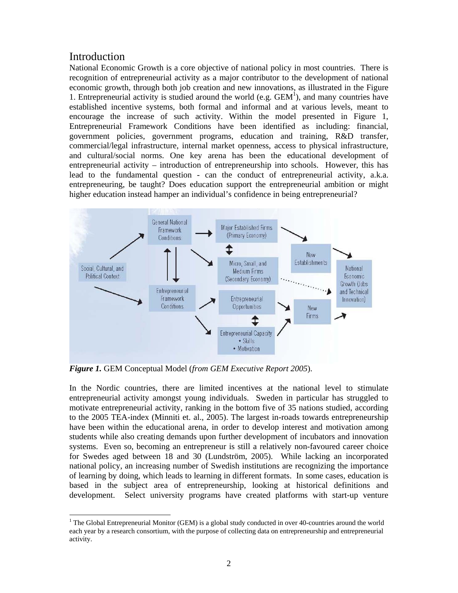# Introduction

National Economic Growth is a core objective of national policy in most countries. There is recognition of entrepreneurial activity as a major contributor to the development of national economic growth, through both job creation and new innovations, as illustrated in the Figure 1. Entrepreneurial activity is studied around the world (e.g.  $GEM<sup>1</sup>$ ), and many countries have established incentive systems, both formal and informal and at various levels, meant to encourage the increase of such activity. Within the model presented in Figure 1, Entrepreneurial Framework Conditions have been identified as including: financial, government policies, government programs, education and training, R&D transfer, commercial/legal infrastructure, internal market openness, access to physical infrastructure, and cultural/social norms. One key arena has been the educational development of entrepreneurial activity – introduction of entrepreneurship into schools. However, this has lead to the fundamental question - can the conduct of entrepreneurial activity, a.k.a. entrepreneuring, be taught? Does education support the entrepreneurial ambition or might higher education instead hamper an individual's confidence in being entrepreneurial?



*Figure 1.* GEM Conceptual Model (*from GEM Executive Report 2005*).

In the Nordic countries, there are limited incentives at the national level to stimulate entrepreneurial activity amongst young individuals. Sweden in particular has struggled to motivate entrepreneurial activity, ranking in the bottom five of 35 nations studied, according to the 2005 TEA-index (Minniti et. al., 2005). The largest in-roads towards entrepreneurship have been within the educational arena, in order to develop interest and motivation among students while also creating demands upon further development of incubators and innovation systems. Even so, becoming an entrepreneur is still a relatively non-favoured career choice for Swedes aged between 18 and 30 (Lundström, 2005). While lacking an incorporated national policy, an increasing number of Swedish institutions are recognizing the importance of learning by doing, which leads to learning in different formats. In some cases, education is based in the subject area of entrepreneurship, looking at historical definitions and development. Select university programs have created platforms with start-up venture

l <sup>1</sup> The Global Entrepreneurial Monitor (GEM) is a global study conducted in over 40-countries around the world each year by a research consortium, with the purpose of collecting data on entrepreneurship and entrepreneurial activity.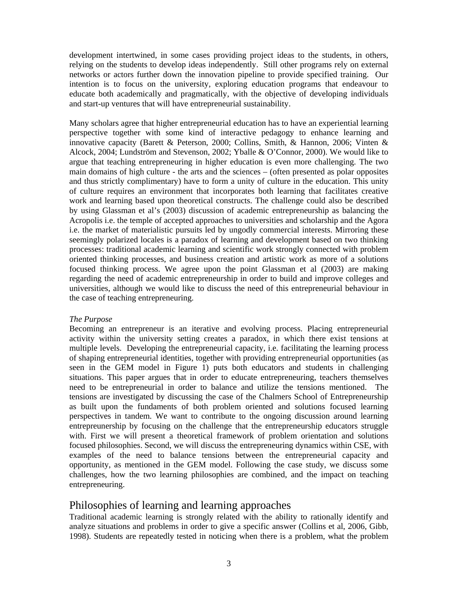development intertwined, in some cases providing project ideas to the students, in others, relying on the students to develop ideas independently. Still other programs rely on external networks or actors further down the innovation pipeline to provide specified training. Our intention is to focus on the university, exploring education programs that endeavour to educate both academically and pragmatically, with the objective of developing individuals and start-up ventures that will have entrepreneurial sustainability.

Many scholars agree that higher entrepreneurial education has to have an experiential learning perspective together with some kind of interactive pedagogy to enhance learning and innovative capacity (Barett & Peterson, 2000; Collins, Smith, & Hannon, 2006; Vinten & Alcock, 2004; Lundström and Stevenson, 2002; Yballe & O'Connor, 2000). We would like to argue that teaching entrepreneuring in higher education is even more challenging. The two main domains of high culture - the arts and the sciences – (often presented as polar opposites and thus strictly complimentary) have to form a unity of culture in the education. This unity of culture requires an environment that incorporates both learning that facilitates creative work and learning based upon theoretical constructs. The challenge could also be described by using Glassman et al's (2003) discussion of academic entrepreneurship as balancing the Acropolis i.e. the temple of accepted approaches to universities and scholarship and the Agora i.e. the market of materialistic pursuits led by ungodly commercial interests. Mirroring these seemingly polarized locales is a paradox of learning and development based on two thinking processes: traditional academic learning and scientific work strongly connected with problem oriented thinking processes, and business creation and artistic work as more of a solutions focused thinking process. We agree upon the point Glassman et al (2003) are making regarding the need of academic entrepreneurship in order to build and improve colleges and universities, although we would like to discuss the need of this entrepreneurial behaviour in the case of teaching entrepreneuring.

#### *The Purpose*

Becoming an entrepreneur is an iterative and evolving process. Placing entrepreneurial activity within the university setting creates a paradox, in which there exist tensions at multiple levels. Developing the entrepreneurial capacity, i.e. facilitating the learning process of shaping entrepreneurial identities, together with providing entrepreneurial opportunities (as seen in the GEM model in Figure 1) puts both educators and students in challenging situations. This paper argues that in order to educate entrepreneuring, teachers themselves need to be entrepreneurial in order to balance and utilize the tensions mentioned. The tensions are investigated by discussing the case of the Chalmers School of Entrepreneurship as built upon the fundaments of both problem oriented and solutions focused learning perspectives in tandem. We want to contribute to the ongoing discussion around learning entrepreunership by focusing on the challenge that the entrepreneurship educators struggle with. First we will present a theoretical framework of problem orientation and solutions focused philosophies. Second, we will discuss the entrepreneuring dynamics within CSE, with examples of the need to balance tensions between the entrepreneurial capacity and opportunity, as mentioned in the GEM model. Following the case study, we discuss some challenges, how the two learning philosophies are combined, and the impact on teaching entrepreneuring.

# Philosophies of learning and learning approaches

Traditional academic learning is strongly related with the ability to rationally identify and analyze situations and problems in order to give a specific answer (Collins et al, 2006, Gibb, 1998). Students are repeatedly tested in noticing when there is a problem, what the problem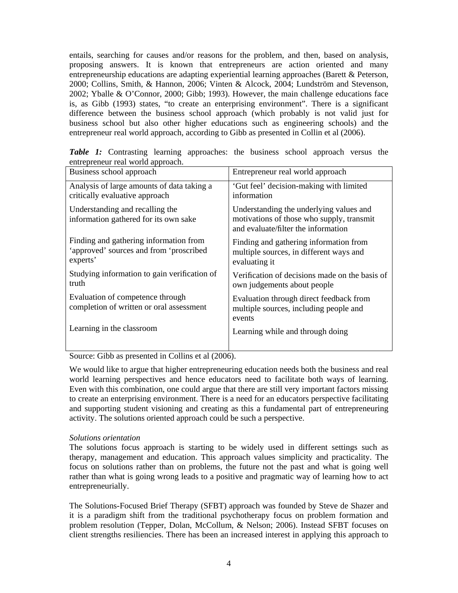entails, searching for causes and/or reasons for the problem, and then, based on analysis, proposing answers. It is known that entrepreneurs are action oriented and many entrepreneurship educations are adapting experiential learning approaches (Barett & Peterson, 2000; Collins, Smith, & Hannon, 2006; Vinten & Alcock, 2004; Lundström and Stevenson, 2002; Yballe & O'Connor, 2000; Gibb; 1993). However, the main challenge educations face is, as Gibb (1993) states, "to create an enterprising environment". There is a significant difference between the business school approach (which probably is not valid just for business school but also other higher educations such as engineering schools) and the entrepreneur real world approach, according to Gibb as presented in Collin et al (2006).

| Business school approach                                                                      | Entrepreneur real world approach                                                                                            |
|-----------------------------------------------------------------------------------------------|-----------------------------------------------------------------------------------------------------------------------------|
| Analysis of large amounts of data taking a<br>critically evaluative approach                  | 'Gut feel' decision-making with limited<br>information                                                                      |
| Understanding and recalling the<br>information gathered for its own sake                      | Understanding the underlying values and<br>motivations of those who supply, transmit<br>and evaluate/filter the information |
| Finding and gathering information from<br>'approved' sources and from 'proscribed<br>experts' | Finding and gathering information from<br>multiple sources, in different ways and<br>evaluating it                          |
| Studying information to gain verification of<br>truth                                         | Verification of decisions made on the basis of<br>own judgements about people                                               |
| Evaluation of competence through<br>completion of written or oral assessment                  | Evaluation through direct feedback from<br>multiple sources, including people and<br>events                                 |
| Learning in the classroom                                                                     | Learning while and through doing                                                                                            |

*Table 1:* Contrasting learning approaches: the business school approach versus the entrepreneur real world approach.

Source: Gibb as presented in Collins et al (2006).

We would like to argue that higher entrepreneuring education needs both the business and real world learning perspectives and hence educators need to facilitate both ways of learning. Even with this combination, one could argue that there are still very important factors missing to create an enterprising environment. There is a need for an educators perspective facilitating and supporting student visioning and creating as this a fundamental part of entrepreneuring activity. The solutions oriented approach could be such a perspective.

#### *Solutions orientation*

The solutions focus approach is starting to be widely used in different settings such as therapy, management and education. This approach values simplicity and practicality. The focus on solutions rather than on problems, the future not the past and what is going well rather than what is going wrong leads to a positive and pragmatic way of learning how to act entrepreneurially.

The Solutions-Focused Brief Therapy (SFBT) approach was founded by Steve de Shazer and it is a paradigm shift from the traditional psychotherapy focus on problem formation and problem resolution (Tepper, Dolan, McCollum, & Nelson; 2006). Instead SFBT focuses on client strengths resiliencies. There has been an increased interest in applying this approach to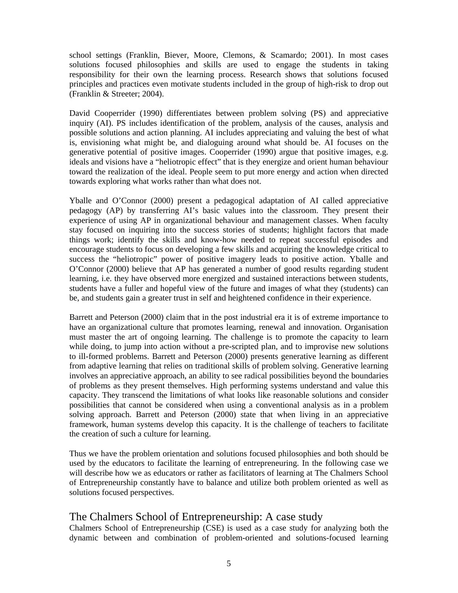school settings (Franklin, Biever, Moore, Clemons, & Scamardo; 2001). In most cases solutions focused philosophies and skills are used to engage the students in taking responsibility for their own the learning process. Research shows that solutions focused principles and practices even motivate students included in the group of high-risk to drop out (Franklin & Streeter; 2004).

David Cooperrider (1990) differentiates between problem solving (PS) and appreciative inquiry (AI). PS includes identification of the problem, analysis of the causes, analysis and possible solutions and action planning. AI includes appreciating and valuing the best of what is, envisioning what might be, and dialoguing around what should be. AI focuses on the generative potential of positive images. Cooperrider (1990) argue that positive images, e.g. ideals and visions have a "heliotropic effect" that is they energize and orient human behaviour toward the realization of the ideal. People seem to put more energy and action when directed towards exploring what works rather than what does not.

Yballe and O'Connor (2000) present a pedagogical adaptation of AI called appreciative pedagogy (AP) by transferring AI's basic values into the classroom. They present their experience of using AP in organizational behaviour and management classes. When faculty stay focused on inquiring into the success stories of students; highlight factors that made things work; identify the skills and know-how needed to repeat successful episodes and encourage students to focus on developing a few skills and acquiring the knowledge critical to success the "heliotropic" power of positive imagery leads to positive action. Yballe and O'Connor (2000) believe that AP has generated a number of good results regarding student learning, i.e. they have observed more energized and sustained interactions between students, students have a fuller and hopeful view of the future and images of what they (students) can be, and students gain a greater trust in self and heightened confidence in their experience.

Barrett and Peterson (2000) claim that in the post industrial era it is of extreme importance to have an organizational culture that promotes learning, renewal and innovation. Organisation must master the art of ongoing learning. The challenge is to promote the capacity to learn while doing, to jump into action without a pre-scripted plan, and to improvise new solutions to ill-formed problems. Barrett and Peterson (2000) presents generative learning as different from adaptive learning that relies on traditional skills of problem solving. Generative learning involves an appreciative approach, an ability to see radical possibilities beyond the boundaries of problems as they present themselves. High performing systems understand and value this capacity. They transcend the limitations of what looks like reasonable solutions and consider possibilities that cannot be considered when using a conventional analysis as in a problem solving approach. Barrett and Peterson (2000) state that when living in an appreciative framework, human systems develop this capacity. It is the challenge of teachers to facilitate the creation of such a culture for learning.

Thus we have the problem orientation and solutions focused philosophies and both should be used by the educators to facilitate the learning of entrepreneuring. In the following case we will describe how we as educators or rather as facilitators of learning at The Chalmers School of Entrepreneurship constantly have to balance and utilize both problem oriented as well as solutions focused perspectives.

# The Chalmers School of Entrepreneurship: A case study

Chalmers School of Entrepreneurship (CSE) is used as a case study for analyzing both the dynamic between and combination of problem-oriented and solutions-focused learning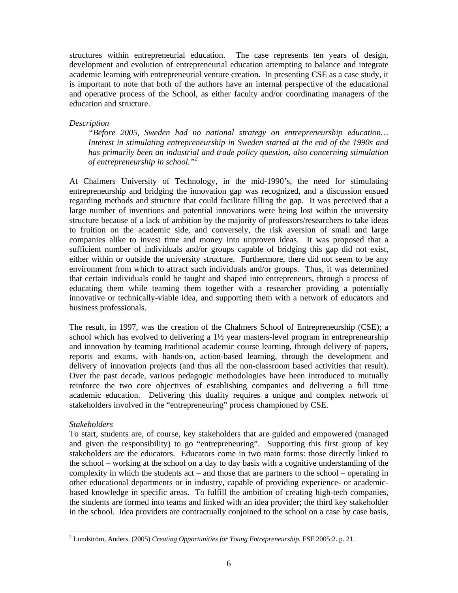structures within entrepreneurial education. The case represents ten years of design, development and evolution of entrepreneurial education attempting to balance and integrate academic learning with entrepreneurial venture creation. In presenting CSE as a case study, it is important to note that both of the authors have an internal perspective of the educational and operative process of the School, as either faculty and/or coordinating managers of the education and structure.

#### *Description*

*"Before 2005, Sweden had no national strategy on entrepreneurship education… Interest in stimulating entrepreneurship in Sweden started at the end of the 1990s and has primarily been an industrial and trade policy question, also concerning stimulation of entrepreneurship in school."<sup>2</sup>* 

At Chalmers University of Technology, in the mid-1990's, the need for stimulating entrepreneurship and bridging the innovation gap was recognized, and a discussion ensued regarding methods and structure that could facilitate filling the gap. It was perceived that a large number of inventions and potential innovations were being lost within the university structure because of a lack of ambition by the majority of professors/researchers to take ideas to fruition on the academic side, and conversely, the risk aversion of small and large companies alike to invest time and money into unproven ideas. It was proposed that a sufficient number of individuals and/or groups capable of bridging this gap did not exist, either within or outside the university structure. Furthermore, there did not seem to be any environment from which to attract such individuals and/or groups. Thus, it was determined that certain individuals could be taught and shaped into entrepreneurs, through a process of educating them while teaming them together with a researcher providing a potentially innovative or technically-viable idea, and supporting them with a network of educators and business professionals.

The result, in 1997, was the creation of the Chalmers School of Entrepreneurship (CSE); a school which has evolved to delivering a 1½ year masters-level program in entrepreneurship and innovation by teaming traditional academic course learning, through delivery of papers, reports and exams, with hands-on, action-based learning, through the development and delivery of innovation projects (and thus all the non-classroom based activities that result). Over the past decade, various pedagogic methodologies have been introduced to mutually reinforce the two core objectives of establishing companies and delivering a full time academic education. Delivering this duality requires a unique and complex network of stakeholders involved in the "entrepreneuring" process championed by CSE.

#### *Stakeholders*

l

To start, students are, of course, key stakeholders that are guided and empowered (managed and given the responsibility) to go "entrepreneuring". Supporting this first group of key stakeholders are the educators. Educators come in two main forms: those directly linked to the school – working at the school on a day to day basis with a cognitive understanding of the complexity in which the students act – and those that are partners to the school – operating in other educational departments or in industry, capable of providing experience- or academicbased knowledge in specific areas. To fulfill the ambition of creating high-tech companies, the students are formed into teams and linked with an idea provider; the third key stakeholder in the school. Idea providers are contractually conjoined to the school on a case by case basis,

<sup>2</sup> Lundström, Anders. (2005) *Creating Opportunities for Young Entrepreneurship.* FSF 2005:2. p. 21.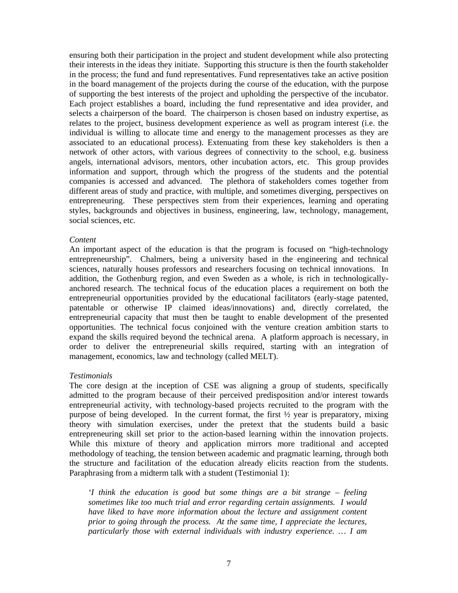ensuring both their participation in the project and student development while also protecting their interests in the ideas they initiate. Supporting this structure is then the fourth stakeholder in the process; the fund and fund representatives. Fund representatives take an active position in the board management of the projects during the course of the education, with the purpose of supporting the best interests of the project and upholding the perspective of the incubator. Each project establishes a board, including the fund representative and idea provider, and selects a chairperson of the board. The chairperson is chosen based on industry expertise, as relates to the project, business development experience as well as program interest (i.e. the individual is willing to allocate time and energy to the management processes as they are associated to an educational process). Extenuating from these key stakeholders is then a network of other actors, with various degrees of connectivity to the school, e.g. business angels, international advisors, mentors, other incubation actors, etc. This group provides information and support, through which the progress of the students and the potential companies is accessed and advanced. The plethora of stakeholders comes together from different areas of study and practice, with multiple, and sometimes diverging, perspectives on entrepreneuring. These perspectives stem from their experiences, learning and operating styles, backgrounds and objectives in business, engineering, law, technology, management, social sciences, etc.

#### *Content*

An important aspect of the education is that the program is focused on "high-technology entrepreneurship". Chalmers, being a university based in the engineering and technical sciences, naturally houses professors and researchers focusing on technical innovations. In addition, the Gothenburg region, and even Sweden as a whole, is rich in technologicallyanchored research. The technical focus of the education places a requirement on both the entrepreneurial opportunities provided by the educational facilitators (early-stage patented, patentable or otherwise IP claimed ideas/innovations) and, directly correlated, the entrepreneurial capacity that must then be taught to enable development of the presented opportunities. The technical focus conjoined with the venture creation ambition starts to expand the skills required beyond the technical arena. A platform approach is necessary, in order to deliver the entrepreneurial skills required, starting with an integration of management, economics, law and technology (called MELT).

#### *Testimonials*

The core design at the inception of CSE was aligning a group of students, specifically admitted to the program because of their perceived predisposition and/or interest towards entrepreneurial activity, with technology-based projects recruited to the program with the purpose of being developed. In the current format, the first ½ year is preparatory, mixing theory with simulation exercises, under the pretext that the students build a basic entrepreneuring skill set prior to the action-based learning within the innovation projects. While this mixture of theory and application mirrors more traditional and accepted methodology of teaching, the tension between academic and pragmatic learning, through both the structure and facilitation of the education already elicits reaction from the students. Paraphrasing from a midterm talk with a student (Testimonial 1):

*'I think the education is good but some things are a bit strange – feeling sometimes like too much trial and error regarding certain assignments. I would*  have liked to have more information about the lecture and assignment content *prior to going through the process. At the same time, I appreciate the lectures, particularly those with external individuals with industry experience. … I am*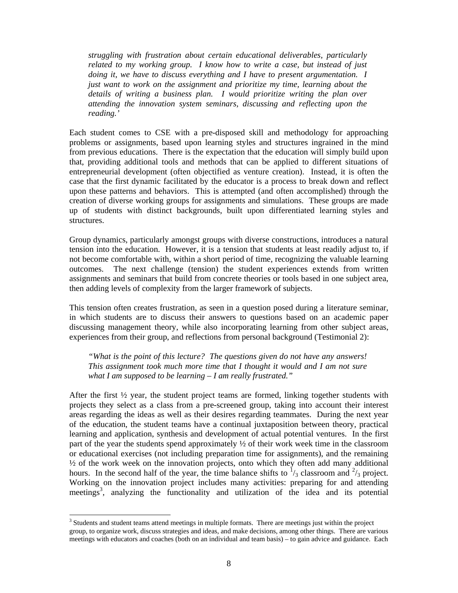*struggling with frustration about certain educational deliverables, particularly related to my working group. I know how to write a case, but instead of just doing it, we have to discuss everything and I have to present argumentation. I just want to work on the assignment and prioritize my time, learning about the details of writing a business plan. I would prioritize writing the plan over attending the innovation system seminars, discussing and reflecting upon the reading.'* 

Each student comes to CSE with a pre-disposed skill and methodology for approaching problems or assignments, based upon learning styles and structures ingrained in the mind from previous educations. There is the expectation that the education will simply build upon that, providing additional tools and methods that can be applied to different situations of entrepreneurial development (often objectified as venture creation). Instead, it is often the case that the first dynamic facilitated by the educator is a process to break down and reflect upon these patterns and behaviors. This is attempted (and often accomplished) through the creation of diverse working groups for assignments and simulations. These groups are made up of students with distinct backgrounds, built upon differentiated learning styles and structures.

Group dynamics, particularly amongst groups with diverse constructions, introduces a natural tension into the education. However, it is a tension that students at least readily adjust to, if not become comfortable with, within a short period of time, recognizing the valuable learning outcomes. The next challenge (tension) the student experiences extends from written assignments and seminars that build from concrete theories or tools based in one subject area, then adding levels of complexity from the larger framework of subjects.

This tension often creates frustration, as seen in a question posed during a literature seminar, in which students are to discuss their answers to questions based on an academic paper discussing management theory, while also incorporating learning from other subject areas, experiences from their group, and reflections from personal background (Testimonial 2):

*"What is the point of this lecture? The questions given do not have any answers! This assignment took much more time that I thought it would and I am not sure what I am supposed to be learning – I am really frustrated."* 

After the first ½ year, the student project teams are formed, linking together students with projects they select as a class from a pre-screened group, taking into account their interest areas regarding the ideas as well as their desires regarding teammates. During the next year of the education, the student teams have a continual juxtaposition between theory, practical learning and application, synthesis and development of actual potential ventures. In the first part of the year the students spend approximately  $\frac{1}{2}$  of their work week time in the classroom or educational exercises (not including preparation time for assignments), and the remaining ½ of the work week on the innovation projects, onto which they often add many additional hours. In the second half of the year, the time balance shifts to  $\frac{1}{3}$  classroom and  $\frac{2}{3}$  project. Working on the innovation project includes many activities: preparing for and attending meetings<sup>3</sup>, analyzing the functionality and utilization of the idea and its potential

l

<sup>&</sup>lt;sup>3</sup> Students and student teams attend meetings in multiple formats. There are meetings just within the project group, to organize work, discuss strategies and ideas, and make decisions, among other things. There are various meetings with educators and coaches (both on an individual and team basis) – to gain advice and guidance. Each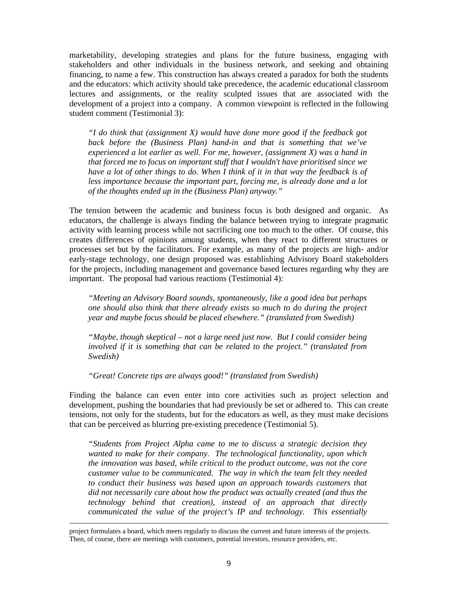marketability, developing strategies and plans for the future business, engaging with stakeholders and other individuals in the business network, and seeking and obtaining financing, to name a few. This construction has always created a paradox for both the students and the educators: which activity should take precedence, the academic educational classroom lectures and assignments, or the reality sculpted issues that are associated with the development of a project into a company. A common viewpoint is reflected in the following student comment (Testimonial 3):

*"I do think that (assignment X) would have done more good if the feedback got back before the (Business Plan) hand-in and that is something that we've experienced a lot earlier as well. For me, however, (assignment X) was a hand in that forced me to focus on important stuff that I wouldn't have prioritised since we have a lot of other things to do. When I think of it in that way the feedback is of less importance because the important part, forcing me, is already done and a lot of the thoughts ended up in the (Business Plan) anyway."* 

The tension between the academic and business focus is both designed and organic. As educators, the challenge is always finding the balance between trying to integrate pragmatic activity with learning process while not sacrificing one too much to the other. Of course, this creates differences of opinions among students, when they react to different structures or processes set but by the facilitators. For example, as many of the projects are high- and/or early-stage technology, one design proposed was establishing Advisory Board stakeholders for the projects, including management and governance based lectures regarding why they are important. The proposal had various reactions (Testimonial 4):

*"Meeting an Advisory Board sounds, spontaneously, like a good idea but perhaps one should also think that there already exists so much to do during the project year and maybe focus should be placed elsewhere." (translated from Swedish)* 

*"Maybe, though skeptical – not a large need just now. But I could consider being involved if it is something that can be related to the project." (translated from Swedish)* 

*"Great! Concrete tips are always good!" (translated from Swedish)* 

Finding the balance can even enter into core activities such as project selection and development, pushing the boundaries that had previously be set or adhered to. This can create tensions, not only for the students, but for the educators as well, as they must make decisions that can be perceived as blurring pre-existing precedence (Testimonial 5).

*"Students from Project Alpha came to me to discuss a strategic decision they wanted to make for their company. The technological functionality, upon which the innovation was based, while critical to the product outcome, was not the core customer value to be communicated. The way in which the team felt they needed to conduct their business was based upon an approach towards customers that did not necessarily care about how the product was actually created (and thus the technology behind that creation), instead of an approach that directly communicated the value of the project's IP and technology. This essentially* 

project formulates a board, which meets regularly to discuss the current and future interests of the projects. Then, of course, there are meetings with customers, potential investors, resource providers, etc.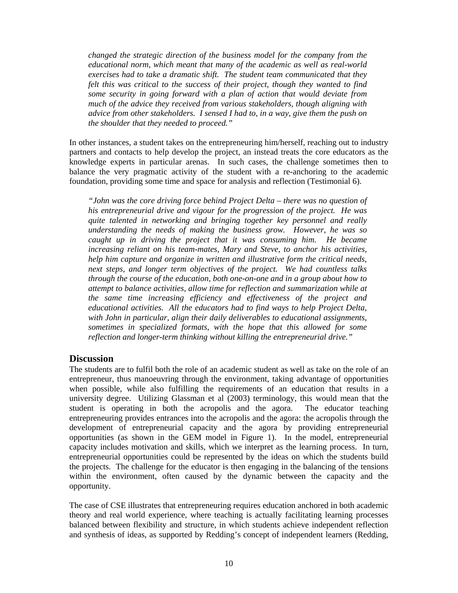*changed the strategic direction of the business model for the company from the educational norm, which meant that many of the academic as well as real-world exercises had to take a dramatic shift. The student team communicated that they felt this was critical to the success of their project, though they wanted to find some security in going forward with a plan of action that would deviate from much of the advice they received from various stakeholders, though aligning with advice from other stakeholders. I sensed I had to, in a way, give them the push on the shoulder that they needed to proceed."* 

In other instances, a student takes on the entrepreneuring him/herself, reaching out to industry partners and contacts to help develop the project, an instead treats the core educators as the knowledge experts in particular arenas. In such cases, the challenge sometimes then to balance the very pragmatic activity of the student with a re-anchoring to the academic foundation, providing some time and space for analysis and reflection (Testimonial 6).

*"John was the core driving force behind Project Delta – there was no question of his entrepreneurial drive and vigour for the progression of the project. He was quite talented in networking and bringing together key personnel and really understanding the needs of making the business grow. However, he was so caught up in driving the project that it was consuming him. He became increasing reliant on his team-mates, Mary and Steve, to anchor his activities, help him capture and organize in written and illustrative form the critical needs, next steps, and longer term objectives of the project. We had countless talks through the course of the education, both one-on-one and in a group about how to attempt to balance activities, allow time for reflection and summarization while at the same time increasing efficiency and effectiveness of the project and educational activities. All the educators had to find ways to help Project Delta, with John in particular, align their daily deliverables to educational assignments, sometimes in specialized formats, with the hope that this allowed for some reflection and longer-term thinking without killing the entrepreneurial drive."* 

## **Discussion**

The students are to fulfil both the role of an academic student as well as take on the role of an entrepreneur, thus manoeuvring through the environment, taking advantage of opportunities when possible, while also fulfilling the requirements of an education that results in a university degree. Utilizing Glassman et al (2003) terminology, this would mean that the student is operating in both the acropolis and the agora. The educator teaching entrepreneuring provides entrances into the acropolis and the agora: the acropolis through the development of entrepreneurial capacity and the agora by providing entrepreneurial opportunities (as shown in the GEM model in Figure 1). In the model, entrepreneurial capacity includes motivation and skills, which we interpret as the learning process. In turn, entrepreneurial opportunities could be represented by the ideas on which the students build the projects. The challenge for the educator is then engaging in the balancing of the tensions within the environment, often caused by the dynamic between the capacity and the opportunity.

The case of CSE illustrates that entrepreneuring requires education anchored in both academic theory and real world experience, where teaching is actually facilitating learning processes balanced between flexibility and structure, in which students achieve independent reflection and synthesis of ideas, as supported by Redding's concept of independent learners (Redding,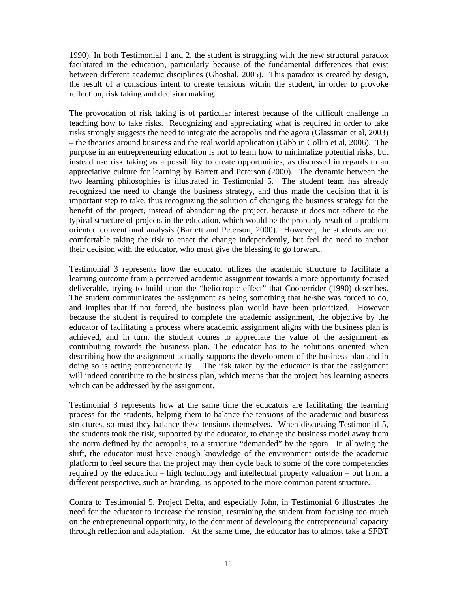1990). In both Testimonial 1 and 2, the student is struggling with the new structural paradox facilitated in the education, particularly because of the fundamental differences that exist between different academic disciplines (Ghoshal, 2005). This paradox is created by design, the result of a conscious intent to create tensions within the student, in order to provoke reflection, risk taking and decision making.

The provocation of risk taking is of particular interest because of the difficult challenge in teaching how to take risks. Recognizing and appreciating what is required in order to take risks strongly suggests the need to integrate the acropolis and the agora (Glassman et al, 2003) – the theories around business and the real world application (Gibb in Collin et al, 2006). The purpose in an entrepreneuring education is not to learn how to minimalize potential risks, but instead use risk taking as a possibility to create opportunities, as discussed in regards to an appreciative culture for learning by Barrett and Peterson (2000). The dynamic between the two learning philosophies is illustrated in Testimonial 5. The student team has already recognized the need to change the business strategy, and thus made the decision that it is important step to take, thus recognizing the solution of changing the business strategy for the benefit of the project, instead of abandoning the project, because it does not adhere to the typical structure of projects in the education, which would be the probably result of a problem oriented conventional analysis (Barrett and Peterson, 2000). However, the students are not comfortable taking the risk to enact the change independently, but feel the need to anchor their decision with the educator, who must give the blessing to go forward.

Testimonial 3 represents how the educator utilizes the academic structure to facilitate a learning outcome from a perceived academic assignment towards a more opportunity focused deliverable, trying to build upon the "heliotropic effect" that Cooperrider (1990) describes. The student communicates the assignment as being something that he/she was forced to do, and implies that if not forced, the business plan would have been prioritized. However because the student is required to complete the academic assignment, the objective by the educator of facilitating a process where academic assignment aligns with the business plan is achieved, and in turn, the student comes to appreciate the value of the assignment as contributing towards the business plan. The educator has to be solutions oriented when describing how the assignment actually supports the development of the business plan and in doing so is acting entrepreneurially. The risk taken by the educator is that the assignment will indeed contribute to the business plan, which means that the project has learning aspects which can be addressed by the assignment.

Testimonial 3 represents how at the same time the educators are facilitating the learning process for the students, helping them to balance the tensions of the academic and business structures, so must they balance these tensions themselves. When discussing Testimonial 5, the students took the risk, supported by the educator, to change the business model away from the norm defined by the acropolis, to a structure "demanded" by the agora. In allowing the shift, the educator must have enough knowledge of the environment outside the academic platform to feel secure that the project may then cycle back to some of the core competencies required by the education – high technology and intellectual property valuation – but from a different perspective, such as branding, as opposed to the more common patent structure.

Contra to Testimonial 5, Project Delta, and especially John, in Testimonial 6 illustrates the need for the educator to increase the tension, restraining the student from focusing too much on the entrepreneurial opportunity, to the detriment of developing the entrepreneurial capacity through reflection and adaptation. At the same time, the educator has to almost take a SFBT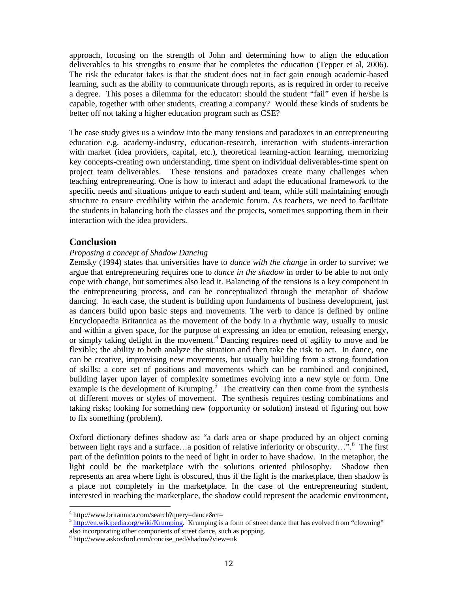approach, focusing on the strength of John and determining how to align the education deliverables to his strengths to ensure that he completes the education (Tepper et al, 2006). The risk the educator takes is that the student does not in fact gain enough academic-based learning, such as the ability to communicate through reports, as is required in order to receive a degree. This poses a dilemma for the educator: should the student "fail" even if he/she is capable, together with other students, creating a company? Would these kinds of students be better off not taking a higher education program such as CSE?

The case study gives us a window into the many tensions and paradoxes in an entrepreneuring education e.g. academy-industry, education-research, interaction with students-interaction with market (idea providers, capital, etc.), theoretical learning-action learning, memorizing key concepts-creating own understanding, time spent on individual deliverables-time spent on project team deliverables. These tensions and paradoxes create many challenges when teaching entrepreneuring. One is how to interact and adapt the educational framework to the specific needs and situations unique to each student and team, while still maintaining enough structure to ensure credibility within the academic forum. As teachers, we need to facilitate the students in balancing both the classes and the projects, sometimes supporting them in their interaction with the idea providers.

## **Conclusion**

#### *Proposing a concept of Shadow Dancing*

Zemsky (1994) states that universities have to *dance with the change* in order to survive; we argue that entrepreneuring requires one to *dance in the shadow* in order to be able to not only cope with change, but sometimes also lead it. Balancing of the tensions is a key component in the entrepreneuring process, and can be conceptualized through the metaphor of shadow dancing. In each case, the student is building upon fundaments of business development, just as dancers build upon basic steps and movements. The verb to dance is defined by online Encyclopaedia Britannica as the movement of the body in a rhythmic way, usually to music and within a given space, for the purpose of expressing an idea or emotion, releasing energy, or simply taking delight in the movement.<sup>4</sup> Dancing requires need of agility to move and be flexible; the ability to both analyze the situation and then take the risk to act. In dance, one can be creative, improvising new movements, but usually building from a strong foundation of skills: a core set of positions and movements which can be combined and conjoined, building layer upon layer of complexity sometimes evolving into a new style or form. One example is the development of Krumping.<sup>5</sup> The creativity can then come from the synthesis of different moves or styles of movement. The synthesis requires testing combinations and taking risks; looking for something new (opportunity or solution) instead of figuring out how to fix something (problem).

Oxford dictionary defines shadow as: "a dark area or shape produced by an object coming between light rays and a surface...a position of relative inferiority or obscurity...".<sup>6</sup> The first part of the definition points to the need of light in order to have shadow. In the metaphor, the light could be the marketplace with the solutions oriented philosophy. Shadow then represents an area where light is obscured, thus if the light is the marketplace, then shadow is a place not completely in the marketplace. In the case of the entrepreneuring student, interested in reaching the marketplace, the shadow could represent the academic environment,

<sup>4</sup> http://www.britannica.com/search?query=dance&ct=

<sup>&</sup>lt;sup>5</sup> http://en.wikipedia.org/wiki/Krumping. Krumping is a form of street dance that has evolved from "clowning" also incorporating other components of street dance, such as popping.

<sup>6</sup> http://www.askoxford.com/concise\_oed/shadow?view=uk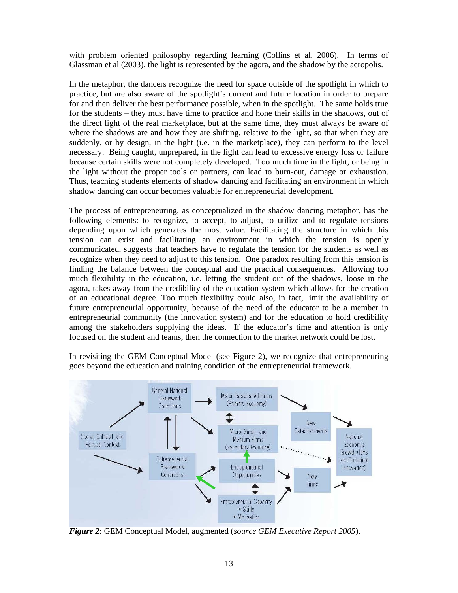with problem oriented philosophy regarding learning (Collins et al, 2006). In terms of Glassman et al (2003), the light is represented by the agora, and the shadow by the acropolis.

In the metaphor, the dancers recognize the need for space outside of the spotlight in which to practice, but are also aware of the spotlight's current and future location in order to prepare for and then deliver the best performance possible, when in the spotlight. The same holds true for the students – they must have time to practice and hone their skills in the shadows, out of the direct light of the real marketplace, but at the same time, they must always be aware of where the shadows are and how they are shifting, relative to the light, so that when they are suddenly, or by design, in the light (i.e. in the marketplace), they can perform to the level necessary. Being caught, unprepared, in the light can lead to excessive energy loss or failure because certain skills were not completely developed. Too much time in the light, or being in the light without the proper tools or partners, can lead to burn-out, damage or exhaustion. Thus, teaching students elements of shadow dancing and facilitating an environment in which shadow dancing can occur becomes valuable for entrepreneurial development.

The process of entrepreneuring, as conceptualized in the shadow dancing metaphor, has the following elements: to recognize, to accept, to adjust, to utilize and to regulate tensions depending upon which generates the most value. Facilitating the structure in which this tension can exist and facilitating an environment in which the tension is openly communicated, suggests that teachers have to regulate the tension for the students as well as recognize when they need to adjust to this tension. One paradox resulting from this tension is finding the balance between the conceptual and the practical consequences. Allowing too much flexibility in the education, i.e. letting the student out of the shadows, loose in the agora, takes away from the credibility of the education system which allows for the creation of an educational degree. Too much flexibility could also, in fact, limit the availability of future entrepreneurial opportunity, because of the need of the educator to be a member in entrepreneurial community (the innovation system) and for the education to hold credibility among the stakeholders supplying the ideas. If the educator's time and attention is only focused on the student and teams, then the connection to the market network could be lost.

In revisiting the GEM Conceptual Model (see Figure 2), we recognize that entrepreneuring goes beyond the education and training condition of the entrepreneurial framework.



*Figure 2*: GEM Conceptual Model, augmented (*source GEM Executive Report 2005*).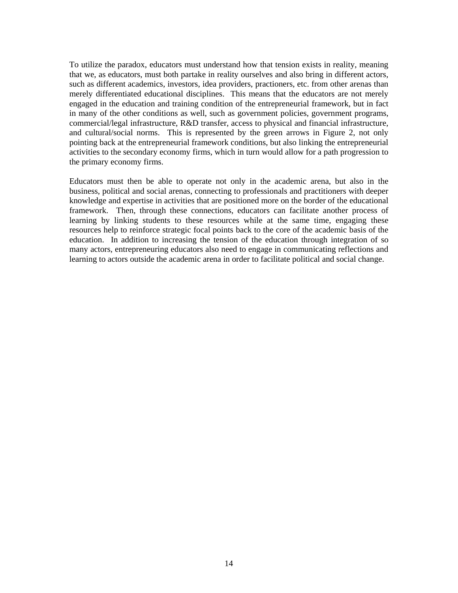To utilize the paradox, educators must understand how that tension exists in reality, meaning that we, as educators, must both partake in reality ourselves and also bring in different actors, such as different academics, investors, idea providers, practioners, etc. from other arenas than merely differentiated educational disciplines. This means that the educators are not merely engaged in the education and training condition of the entrepreneurial framework, but in fact in many of the other conditions as well, such as government policies, government programs, commercial/legal infrastructure, R&D transfer, access to physical and financial infrastructure, and cultural/social norms. This is represented by the green arrows in Figure 2, not only pointing back at the entrepreneurial framework conditions, but also linking the entrepreneurial activities to the secondary economy firms, which in turn would allow for a path progression to the primary economy firms.

Educators must then be able to operate not only in the academic arena, but also in the business, political and social arenas, connecting to professionals and practitioners with deeper knowledge and expertise in activities that are positioned more on the border of the educational framework. Then, through these connections, educators can facilitate another process of learning by linking students to these resources while at the same time, engaging these resources help to reinforce strategic focal points back to the core of the academic basis of the education. In addition to increasing the tension of the education through integration of so many actors, entrepreneuring educators also need to engage in communicating reflections and learning to actors outside the academic arena in order to facilitate political and social change.